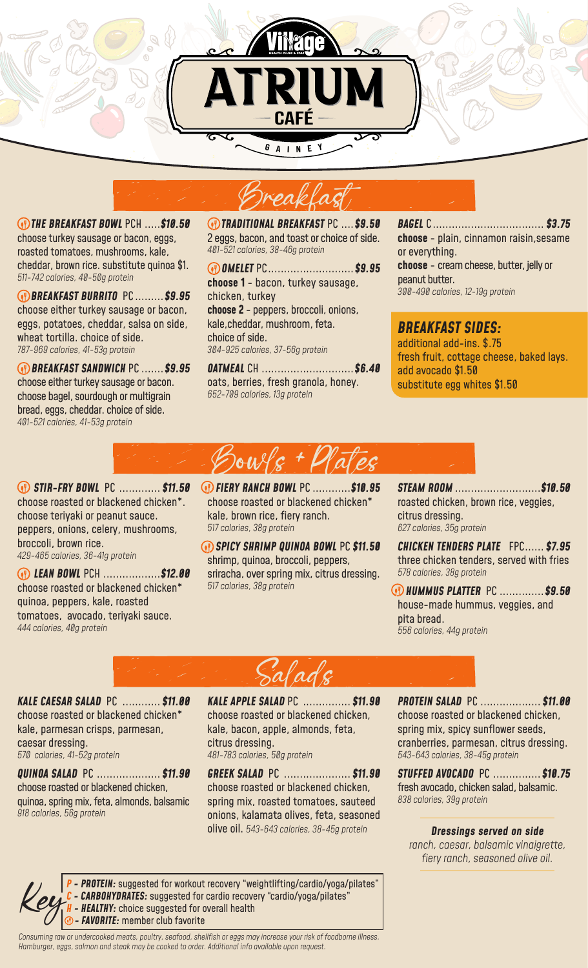



 *THE BREAKFAST BOWL* PCH .....*\$10.50* choose turkey sausage or bacon, eggs, roasted tomatoes, mushrooms, kale, cheddar, brown rice. substitute quinoa \$1. *511-742 calories, 40-50g protein*

 *BREAKFAST BURRITO* PC .........*\$9.95* choose either turkey sausage or bacon, eggs, potatoes, cheddar, salsa on side, wheat tortilla. choice of side. *787-969 calories, 41-53g protein*

 *BREAKFAST SANDWICH* PC .......*\$9.95* choose either turkey sausage or bacon. choose bagel, sourdough or multigrain bread, eggs, cheddar. choice of side. *401-521 calories, 41-53g protein*

 *TRADITIONAL BREAKFAST* PC ....*\$9.50* 2 eggs, bacon, and toast or choice of side. *401-521 calories, 38-46g protein*

 *OMELET* PC...........................*\$9.95* **choose 1** - bacon, turkey sausage, chicken, turkey **choose 2** - peppers, broccoli, onions, kale,cheddar, mushroom, feta. choice of side. *304-925 calories, 37-56g protein*

*OATMEAL* CH .............................*\$6.40* oats, berries, fresh granola, honey. *652-709 calories, 13g protein* 

*BAGEL* C................................... *\$3.75* **choose** - plain, cinnamon raisin,sesame or everything. **choose** - cream cheese, butter, jelly or peanut butter. *300-490 calories, 12-19g protein*

*BREAKFAST SIDES:*  additional add-ins. \$.75 fresh fruit, cottage cheese, baked lays. add avocado \$1.50 substitute egg whites \$1.50



 *STIR-FRY BOWL* PC ............. *\$11.50* choose roasted or blackened chicken\*. choose teriyaki or peanut sauce. peppers, onions, celery, mushrooms, broccoli, brown rice. *429-465 calories, 36-41g protein*

 *LEAN BOWL* PCH ..................*\$12.00* choose roasted or blackened chicken\* quinoa, peppers, kale, roasted tomatoes, avocado, teriyaki sauce. *444 calories, 40g protein* 

 *FIERY RANCH BOWL* PC ............*\$10.95* choose roasted or blackened chicken\* kale, brown rice, fiery ranch. *517 calories, 38g protein*

 *SPICY SHRIMP QUINOA BOWL* PC *\$11.50* shrimp, quinoa, broccoli, peppers, sriracha, over spring mix, citrus dressing. *517 calories, 38g protein*

*STEAM ROOM* ...........................*\$10.50* roasted chicken, brown rice, veggies, citrus dressing. *627 calories, 35g protein*

*CHICKEN TENDERS PLATE* FPC...... *\$7.95* three chicken tenders, served with fries *578 calories, 38g protein*

 *HUMMUS PLATTER* PC ..............*\$9.50*  house-made hummus, veggies, and pita bread. *556 calories, 44g protein*

ladç

*KALE CAESAR SALAD* PC ............ *\$11.00* choose roasted or blackened chicken\* kale, parmesan crisps, parmesan, caesar dressing. *570 calories, 41-52g protein*

*QUINOA SALAD* PC .................... *\$11.90* choose roasted or blackened chicken, quinoa, spring mix, feta, almonds, balsamic *918 calories, 56g protein*

*KALE APPLE SALAD* PC ............... *\$11.90* choose roasted or blackened chicken, kale, bacon, apple, almonds, feta, citrus dressing. *481-783 calories, 50g protein*

*GREEK SALAD* PC ..................... *\$11.90* choose roasted or blackened chicken, spring mix, roasted tomatoes, sauteed onions, kalamata olives, feta, seasoned olive oil. *543-643 calories, 38-45g protein* 

*PROTEIN SALAD* PC ................... *\$11.00* choose roasted or blackened chicken, spring mix, spicy sunflower seeds, cranberries, parmesan, citrus dressing. *543-643 calories, 38-45g protein*

*STUFFED AVOCADO* PC ...............*\$10.75* fresh avocado, chicken salad, balsamic. *838 calories, 39g protein*

## *Dressings served on side*

*ranch, caesar, balsamic vinaigrette, fiery ranch, seasoned olive oil.*

*P - PROTEIN:* suggested for workout recovery "weightlifting/cardio/yoga/pilates" - **CARBOHYDRATES:** suggested for cardio recovery "cardio/yoga/pilates" **- HEALTHY:** choice suggested for overall health *<sup>O</sup>* - **FAVORITE:** member club favorite

*Consuming raw or undercooked meats, poultry, seafood, shellfish or eggs may increase your risk of foodborne illness. Hamburger, eggs, salmon and steak may be cooked to order. Additional info available upon request.*